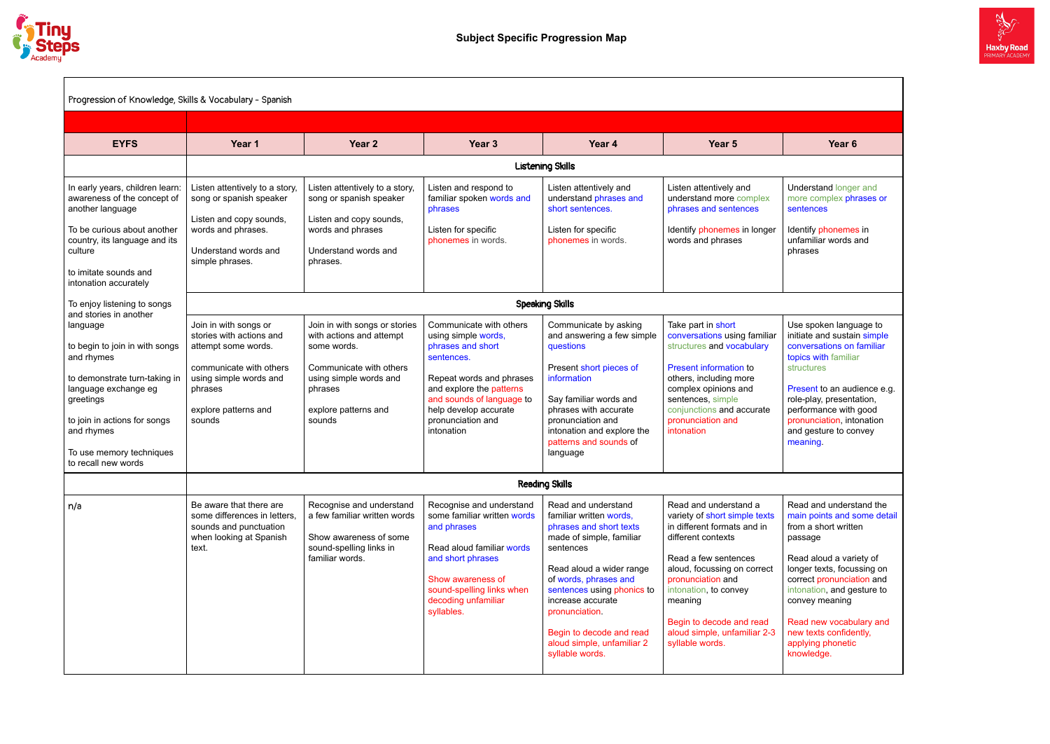

## Progression of Knowledge, Skills & Vocabulary - Spanish

| <b>EYFS</b>                                                                                                                                                                                                                                               | Year 1                                                                                                                                                                     | Year <sub>2</sub>                                                                                                                                                          | Year <sub>3</sub>                                                                                                                                                                                                                  | Year 4                                                                                                                                                                                                                                                                                                                    | Year <sub>5</sub>                                                                                                                                                                                                                                                                                          | Year <sub>6</sub>                                                                                                                                                                                                                                              |  |  |  |
|-----------------------------------------------------------------------------------------------------------------------------------------------------------------------------------------------------------------------------------------------------------|----------------------------------------------------------------------------------------------------------------------------------------------------------------------------|----------------------------------------------------------------------------------------------------------------------------------------------------------------------------|------------------------------------------------------------------------------------------------------------------------------------------------------------------------------------------------------------------------------------|---------------------------------------------------------------------------------------------------------------------------------------------------------------------------------------------------------------------------------------------------------------------------------------------------------------------------|------------------------------------------------------------------------------------------------------------------------------------------------------------------------------------------------------------------------------------------------------------------------------------------------------------|----------------------------------------------------------------------------------------------------------------------------------------------------------------------------------------------------------------------------------------------------------------|--|--|--|
|                                                                                                                                                                                                                                                           | <b>Listening Skills</b>                                                                                                                                                    |                                                                                                                                                                            |                                                                                                                                                                                                                                    |                                                                                                                                                                                                                                                                                                                           |                                                                                                                                                                                                                                                                                                            |                                                                                                                                                                                                                                                                |  |  |  |
| In early years, children learn:<br>awareness of the concept of<br>another language<br>To be curious about another<br>country, its language and its<br>culture<br>to imitate sounds and<br>intonation accurately                                           | Listen attentively to a story,<br>song or spanish speaker<br>Listen and copy sounds,<br>words and phrases.<br>Understand words and<br>simple phrases.                      | Listen attentively to a story,<br>song or spanish speaker<br>Listen and copy sounds,<br>words and phrases<br>Understand words and<br>phrases.                              | Listen and respond to<br>familiar spoken words and<br>phrases<br>Listen for specific<br>phonemes in words.                                                                                                                         | Listen attentively and<br>understand phrases and<br>short sentences.<br>Listen for specific<br>phonemes in words.                                                                                                                                                                                                         | Listen attentively and<br>understand more complex<br>phrases and sentences<br>Identify phonemes in longer<br>words and phrases                                                                                                                                                                             | <b>Understand longer</b><br>more complex phr<br>sentences<br>Identify phonemes<br>unfamiliar words a<br>phrases                                                                                                                                                |  |  |  |
| To enjoy listening to songs                                                                                                                                                                                                                               |                                                                                                                                                                            | <b>Speaking Skills</b>                                                                                                                                                     |                                                                                                                                                                                                                                    |                                                                                                                                                                                                                                                                                                                           |                                                                                                                                                                                                                                                                                                            |                                                                                                                                                                                                                                                                |  |  |  |
| and stories in another<br>language<br>to begin to join in with songs<br>and rhymes<br>to demonstrate turn-taking in<br>language exchange eg<br>greetings<br>to join in actions for songs<br>and rhymes<br>To use memory techniques<br>to recall new words | Join in with songs or<br>stories with actions and<br>attempt some words.<br>communicate with others<br>using simple words and<br>phrases<br>explore patterns and<br>sounds | Join in with songs or stories<br>with actions and attempt<br>some words.<br>Communicate with others<br>using simple words and<br>phrases<br>explore patterns and<br>sounds | Communicate with others<br>using simple words,<br>phrases and short<br>sentences.<br>Repeat words and phrases<br>and explore the patterns<br>and sounds of language to<br>help develop accurate<br>pronunciation and<br>intonation | Communicate by asking<br>and answering a few simple<br>questions<br>Present short pieces of<br>information<br>Say familiar words and<br>phrases with accurate<br>pronunciation and<br>intonation and explore the<br>patterns and sounds of<br>language                                                                    | Take part in short<br>conversations using familiar<br>structures and vocabulary<br>Present information to<br>others, including more<br>complex opinions and<br>sentences, simple<br>conjunctions and accurate<br>pronunciation and<br>intonation                                                           | Use spoken langu<br>initiate and sustair<br>conversations on f<br>topics with familiar<br>structures<br>Present to an audi<br>role-play, presenta<br>performance with<br>pronunciation, into<br>and gesture to cor<br>meaning.                                 |  |  |  |
|                                                                                                                                                                                                                                                           | <b>Reading Skills</b>                                                                                                                                                      |                                                                                                                                                                            |                                                                                                                                                                                                                                    |                                                                                                                                                                                                                                                                                                                           |                                                                                                                                                                                                                                                                                                            |                                                                                                                                                                                                                                                                |  |  |  |
| n/a                                                                                                                                                                                                                                                       | Be aware that there are<br>some differences in letters,<br>sounds and punctuation<br>when looking at Spanish<br>text.                                                      | Recognise and understand<br>a few familiar written words<br>Show awareness of some<br>sound-spelling links in<br>familiar words.                                           | Recognise and understand<br>some familiar written words<br>and phrases<br>Read aloud familiar words<br>and short phrases<br>Show awareness of<br>sound-spelling links when<br>decoding unfamiliar<br>syllables.                    | Read and understand<br>familiar written words,<br>phrases and short texts<br>made of simple, familiar<br>sentences<br>Read aloud a wider range<br>of words, phrases and<br>sentences using phonics to<br>increase accurate<br>pronunciation.<br>Begin to decode and read<br>aloud simple, unfamiliar 2<br>syllable words. | Read and understand a<br>variety of short simple texts<br>in different formats and in<br>different contexts<br>Read a few sentences<br>aloud, focussing on correct<br>pronunciation and<br>intonation, to convey<br>meaning<br>Begin to decode and read<br>aloud simple, unfamiliar 2-3<br>syllable words. | Read and underst<br>main points and so<br>from a short writte<br>passage<br>Read aloud a vari<br>longer texts, focus<br>correct pronunciat<br>intonation, and ge<br>convey meaning<br>Read new vocabu<br>new texts confider<br>applying phonetic<br>knowledge. |  |  |  |



| Year 6                                                                                                                                             |  |
|----------------------------------------------------------------------------------------------------------------------------------------------------|--|
|                                                                                                                                                    |  |
| Understand longer and<br>more complex phrases or<br>sentences                                                                                      |  |
| Identify phonemes in<br>unfamiliar words and<br>phrases                                                                                            |  |
|                                                                                                                                                    |  |
| Use spoken language to<br>initiate and sustain simple<br>conversations on familiar<br>topics with familiar<br>structures                           |  |
| Present to an audience e.g.<br>role-play, presentation,<br>performance with good<br>pronunciation, intonation<br>and gesture to convey<br>meaning. |  |
|                                                                                                                                                    |  |
| Read and understand the<br>main points and some detail<br>from a short written<br>passage                                                          |  |
| Read aloud a variety of<br>longer texts, focussing on<br>correct pronunciation and<br>intonation, and gesture to<br>convey meaning                 |  |
| Read new vocabulary and<br>new texts confidently,<br>applying phonetic<br>knowledge.                                                               |  |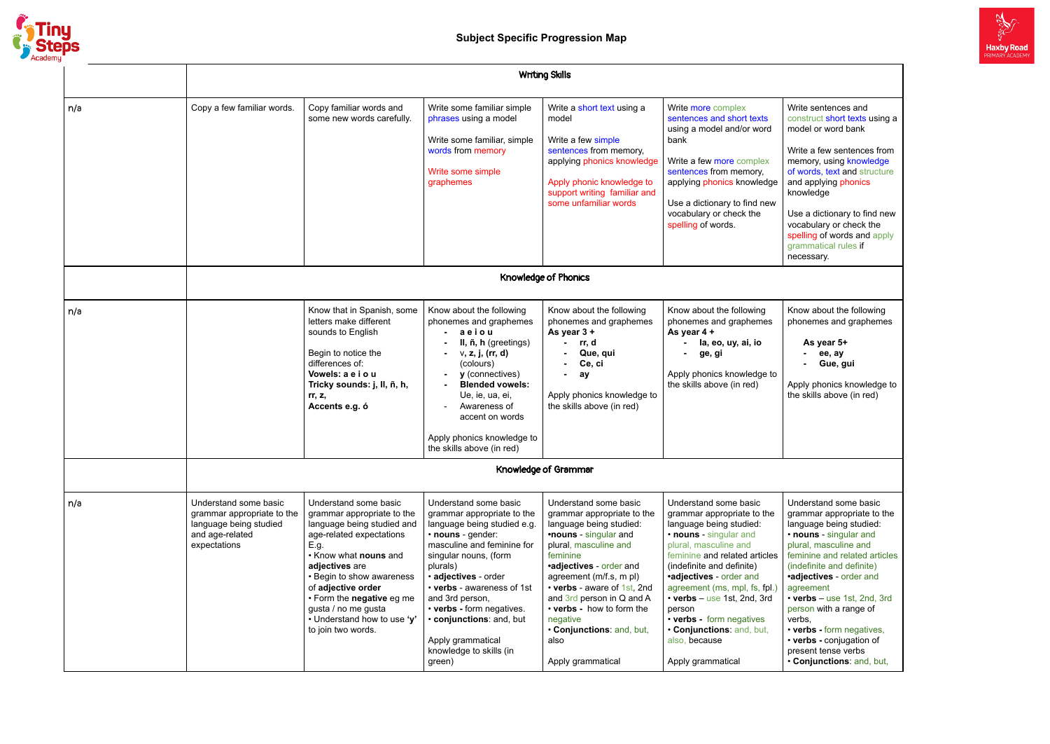

|     | <b>Writing Skills</b>                                                                                            |                                                                                                                                                                                                                                                                                                                              |                                                                                                                                                                                                                                                                                                                                                                        |                                                                                                                                                                                                                                                                                                                                                                   |                                                                                                                                                                                                                                                                                                                                                                                                             |                                                                                                                              |  |
|-----|------------------------------------------------------------------------------------------------------------------|------------------------------------------------------------------------------------------------------------------------------------------------------------------------------------------------------------------------------------------------------------------------------------------------------------------------------|------------------------------------------------------------------------------------------------------------------------------------------------------------------------------------------------------------------------------------------------------------------------------------------------------------------------------------------------------------------------|-------------------------------------------------------------------------------------------------------------------------------------------------------------------------------------------------------------------------------------------------------------------------------------------------------------------------------------------------------------------|-------------------------------------------------------------------------------------------------------------------------------------------------------------------------------------------------------------------------------------------------------------------------------------------------------------------------------------------------------------------------------------------------------------|------------------------------------------------------------------------------------------------------------------------------|--|
| n/a | Copy a few familiar words.                                                                                       | Copy familiar words and<br>some new words carefully.                                                                                                                                                                                                                                                                         | Write some familiar simple<br>phrases using a model<br>Write some familiar, simple<br>words from memory<br>Write some simple<br>graphemes                                                                                                                                                                                                                              | Write a short text using a<br>model<br>Write a few simple<br>sentences from memory,<br>applying phonics knowledge<br>Apply phonic knowledge to<br>support writing familiar and<br>some unfamiliar words                                                                                                                                                           | Write more complex<br>sentences and short texts<br>using a model and/or word<br>bank<br>Write a few more complex<br>sentences from memory,<br>applying phonics knowledge<br>Use a dictionary to find new<br>vocabulary or check the<br>spelling of words.                                                                                                                                                   | W<br><b>CC</b><br>m<br>W<br>m<br>of<br>ar<br>kr<br>U:<br>VC<br><b>sp</b><br>gr<br>ne                                         |  |
|     | <b>Knowledge of Phonics</b>                                                                                      |                                                                                                                                                                                                                                                                                                                              |                                                                                                                                                                                                                                                                                                                                                                        |                                                                                                                                                                                                                                                                                                                                                                   |                                                                                                                                                                                                                                                                                                                                                                                                             |                                                                                                                              |  |
| n/a |                                                                                                                  | Know that in Spanish, some<br>letters make different<br>sounds to English<br>Begin to notice the<br>differences of:<br>Vowels: a e i o u<br>Tricky sounds: j, ll, ñ, h,<br>rr, z,<br>Accents e.g. ó                                                                                                                          | Know about the following<br>phonemes and graphemes<br>aeiou<br>II, ñ, h (greetings)<br>v, z, j, (rr, d)<br>(colours)<br><b>y</b> (connectives)<br><b>Blended vowels:</b><br>Ue, ie, ua, ei,<br>Awareness of<br>accent on words<br>Apply phonics knowledge to<br>the skills above (in red)                                                                              | Know about the following<br>phonemes and graphemes<br>As year 3 +<br>rr, d<br>Que, qui<br>Ce, ci<br>ay<br>$\blacksquare$<br>Apply phonics knowledge to<br>the skills above (in red)                                                                                                                                                                               | Know about the following<br>phonemes and graphemes<br>As year 4 +<br>la, eo, uy, ai, io<br>ge, gi<br>Apply phonics knowledge to<br>the skills above (in red)                                                                                                                                                                                                                                                | Kı<br>pł<br>Α<br>th                                                                                                          |  |
|     | Knowledge of Grammar                                                                                             |                                                                                                                                                                                                                                                                                                                              |                                                                                                                                                                                                                                                                                                                                                                        |                                                                                                                                                                                                                                                                                                                                                                   |                                                                                                                                                                                                                                                                                                                                                                                                             |                                                                                                                              |  |
| n/a | Understand some basic<br>grammar appropriate to the<br>language being studied<br>and age-related<br>expectations | Understand some basic<br>grammar appropriate to the<br>language being studied and<br>age-related expectations<br>E.g.<br>• Know what nouns and<br>adjectives are<br>• Begin to show awareness<br>of adjective order<br>. Form the negative eg me<br>gusta / no me gusta<br>• Understand how to use 'y'<br>to join two words. | Understand some basic<br>grammar appropriate to the<br>language being studied e.g.<br>· nouns - gender:<br>masculine and feminine for<br>singular nouns, (form<br>plurals)<br>· adjectives - order<br>• verbs - awareness of 1st<br>and 3rd person,<br>• verbs - form negatives.<br>• conjunctions: and, but<br>Apply grammatical<br>knowledge to skills (in<br>green) | Understand some basic<br>grammar appropriate to the<br>language being studied:<br>•nouns - singular and<br>plural, masculine and<br>feminine<br>•adjectives - order and<br>agreement (m/f.s, m pl)<br>• verbs - aware of 1st, 2nd<br>and 3rd person in Q and A<br>• verbs - how to form the<br>negative<br>• Conjunctions: and, but,<br>also<br>Apply grammatical | Understand some basic<br>grammar appropriate to the<br>language being studied:<br>• nouns - singular and<br>plural, masculine and<br>feminine and related articles<br>(indefinite and definite)<br>•adjectives - order and<br>agreement (ms, mpl, fs, fpl.)<br>$\cdot$ verbs $-$ use 1st, 2nd, 3rd<br>person<br>• verbs - form negatives<br>• Conjunctions: and, but,<br>also, because<br>Apply grammatical | U<br>gr<br>la<br>$\cdot$ 1<br>pl<br>fe<br>$($ ir<br>٠a<br>ag<br>$\cdot$<br>pe<br>٧e<br>$\cdot$<br>$\cdot$<br>pr<br>$\cdot$ ( |  |



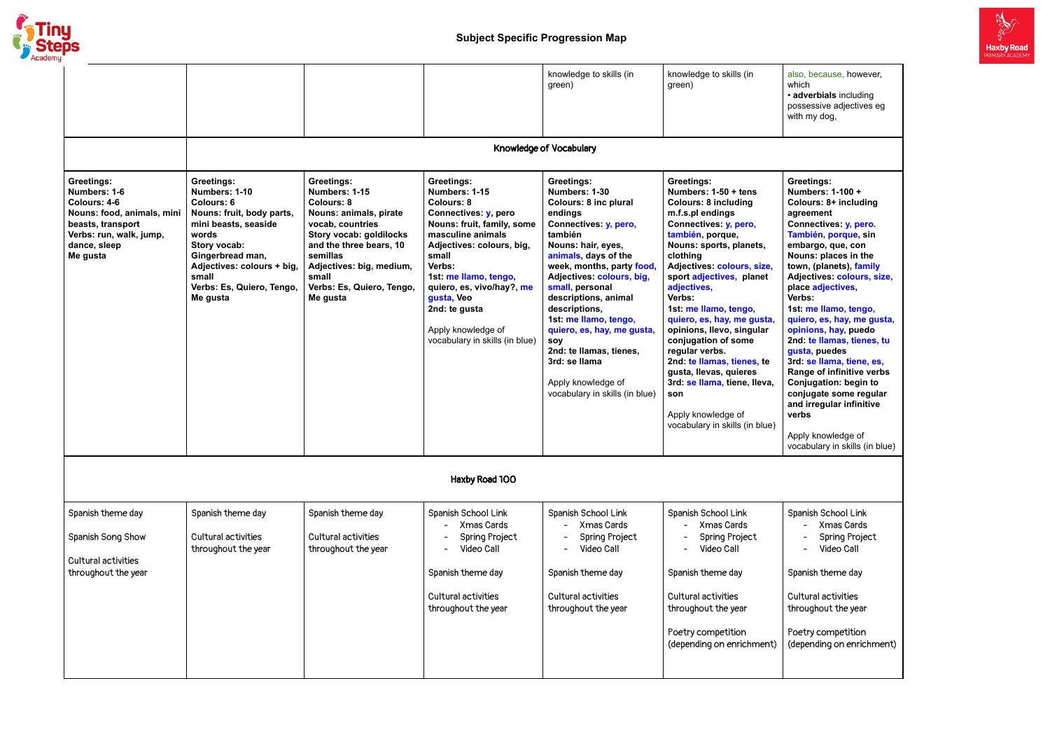

## **Subject Specific Progression Map**

|                                                                                                                                                                                                                                           |                                                                                                                                                                                                                                                       |                                                                                                                                                                                                                                                                                                                                 | knowledge to skills (in<br>green)                                                                                                                                                                                                                                                                                                                                                                                                                | knowledge to skills (in<br>green)                                                                                                                                                                                                                                                                                                                                                                                                                                                                                                                       | al<br>W<br>$\bullet$ ;<br>p<br>W                                                                                                                                                                                     |  |
|-------------------------------------------------------------------------------------------------------------------------------------------------------------------------------------------------------------------------------------------|-------------------------------------------------------------------------------------------------------------------------------------------------------------------------------------------------------------------------------------------------------|---------------------------------------------------------------------------------------------------------------------------------------------------------------------------------------------------------------------------------------------------------------------------------------------------------------------------------|--------------------------------------------------------------------------------------------------------------------------------------------------------------------------------------------------------------------------------------------------------------------------------------------------------------------------------------------------------------------------------------------------------------------------------------------------|---------------------------------------------------------------------------------------------------------------------------------------------------------------------------------------------------------------------------------------------------------------------------------------------------------------------------------------------------------------------------------------------------------------------------------------------------------------------------------------------------------------------------------------------------------|----------------------------------------------------------------------------------------------------------------------------------------------------------------------------------------------------------------------|--|
| Knowledge of Vocabulary                                                                                                                                                                                                                   |                                                                                                                                                                                                                                                       |                                                                                                                                                                                                                                                                                                                                 |                                                                                                                                                                                                                                                                                                                                                                                                                                                  |                                                                                                                                                                                                                                                                                                                                                                                                                                                                                                                                                         |                                                                                                                                                                                                                      |  |
| <b>Greetings:</b><br>Numbers: 1-10<br><b>Colours: 6</b><br>Nouns: fruit, body parts,<br>mini beasts, seaside<br>words<br>Story vocab:<br>Gingerbread man,<br>Adjectives: colours + big,<br>small<br>Verbs: Es, Quiero, Tengo,<br>Me gusta | <b>Greetings:</b><br>Numbers: 1-15<br><b>Colours: 8</b><br>Nouns: animals, pirate<br>vocab, countries<br>Story vocab: goldilocks<br>and the three bears, 10<br>semillas<br>Adjectives: big, medium,<br>small<br>Verbs: Es, Quiero, Tengo,<br>Me gusta | <b>Greetings:</b><br>Numbers: 1-15<br><b>Colours: 8</b><br>Connectives: y, pero<br>Nouns: fruit, family, some<br>masculine animals<br>Adjectives: colours, big,<br>small<br>Verbs:<br>1st: me llamo, tengo,<br>quiero, es, vivo/hay?, me<br>gusta, Veo<br>2nd: te gusta<br>Apply knowledge of<br>vocabulary in skills (in blue) | Greetings:<br>Numbers: 1-30<br><b>Colours: 8 inc plural</b><br>endings<br>Connectives: y, pero,<br>también<br>Nouns: hair, eyes,<br>animals, days of the<br>week, months, party food,<br>Adjectives: colours, big,<br>small, personal<br>descriptions, animal<br>descriptions,<br>1st: me llamo, tengo,<br>quiero, es, hay, me gusta,<br>soy<br>2nd: te llamas, tienes,<br>3rd: se llama<br>Apply knowledge of<br>vocabulary in skills (in blue) | <b>Greetings:</b><br>Numbers: 1-50 + tens<br><b>Colours: 8 including</b><br>m.f.s.pl endings<br>Connectives: y, pero,<br>también, porque,<br>Nouns: sports, planets,<br>clothing<br>Adjectives: colours, size,<br>sport adjectives, planet<br>adjectives,<br>Verbs:<br>1st: me llamo, tengo,<br>quiero, es, hay, me gusta,<br>opinions, Ilevo, singular<br>conjugation of some<br>regular verbs.<br>2nd: te llamas, tienes, te<br>gusta, Ilevas, quieres<br>3rd: se llama, tiene, lleva,<br>son<br>Apply knowledge of<br>vocabulary in skills (in blue) | G<br>N<br>C<br>a<br>C<br>T<br>e <sub>l</sub><br>N<br>tc<br>A<br>pl<br>V<br>1 <sub>5</sub><br>q<br> 0 <br>2 <sub>l</sub><br>$\mathbf{g}$<br>3 <sub>l</sub><br>$\mathsf{R}$<br>C<br>C(<br>a<br>$\mathsf{V}$<br>A<br>V( |  |
|                                                                                                                                                                                                                                           |                                                                                                                                                                                                                                                       | Haxby Road 100                                                                                                                                                                                                                                                                                                                  |                                                                                                                                                                                                                                                                                                                                                                                                                                                  |                                                                                                                                                                                                                                                                                                                                                                                                                                                                                                                                                         |                                                                                                                                                                                                                      |  |
| Spanish theme day<br><b>Cultural activities</b><br>throughout the year                                                                                                                                                                    | Spanish theme day<br><b>Cultural activities</b><br>throughout the year                                                                                                                                                                                | Spanish School Link<br>Xmas Cards<br><b>Spring Project</b><br>Video Call<br>Spanish theme day<br><b>Cultural activities</b><br>throughout the year                                                                                                                                                                              | Spanish School Link<br>Xmas Cards<br><b>Spring Project</b><br>Video Call<br>Spanish theme day<br><b>Cultural activities</b><br>throughout the year                                                                                                                                                                                                                                                                                               | Spanish School Link<br>Xmas Cards<br><b>Spring Project</b><br>Video Call<br>Spanish theme day<br><b>Cultural activities</b><br>throughout the year<br>Poetry competition<br>(depending on enrichment)                                                                                                                                                                                                                                                                                                                                                   | S<br>$\mathsf{S}$<br>C<br>tł<br>P(<br>(d                                                                                                                                                                             |  |
|                                                                                                                                                                                                                                           |                                                                                                                                                                                                                                                       |                                                                                                                                                                                                                                                                                                                                 |                                                                                                                                                                                                                                                                                                                                                                                                                                                  |                                                                                                                                                                                                                                                                                                                                                                                                                                                                                                                                                         |                                                                                                                                                                                                                      |  |



lso, because, however, which • **adverbials** including ossessive adjectives eg with my dog, **Greetings: Numbers: 1-100 + Colours: 8+ including agreement Connectives: y, pero. También, porque, sin embargo, que, con Nouns: places in the town, (planets), family Adjectives: colours, size, place adjectives, Verbs: 1st: me llamo, tengo, quiero, es, hay, me gusta, opinions, hay, puedo 2nd: te llamas, tienes, tu gusta, puedes 3rd: se llama, tiene, es, Range of infinitive verbs Conjugation: begin to conjugate some regular and irregular infinitive verbs** pply knowledge of ocabulary in skills (in blue) panish School Link - Xmas Cards - Spring Project - Video Call panish theme day ultural activities hroughout the year oetry competition depending on enrichment)